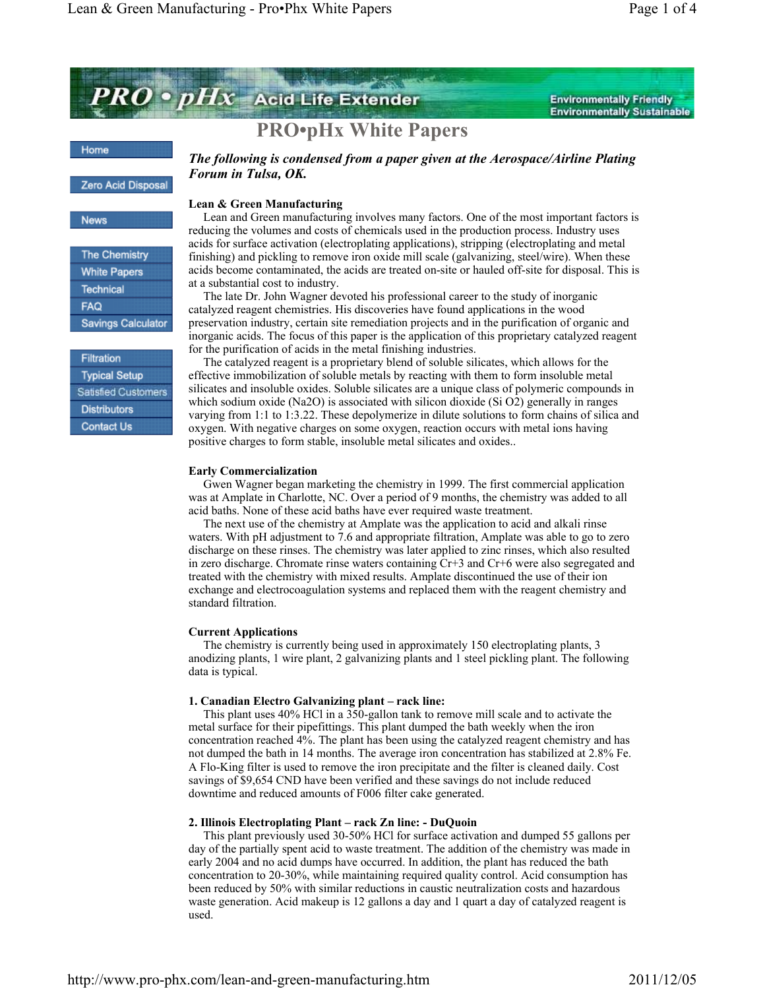

**Environmentally Friendly Environmentally Sustainable** 

# **PRO•pHx White Papers**

#### Home

#### Zero Acid Disposal

#### News

The Chemistry **White Papers** Technical **FAQ Savings Calculator** 

Filtration **Typical Setup** Satisfied Customers **Distributors Contact Us** 

# *The following is condensed from a paper given at the Aerospace/Airline Plating Forum in Tulsa, OK.*

## **Lean & Green Manufacturing**

 Lean and Green manufacturing involves many factors. One of the most important factors is reducing the volumes and costs of chemicals used in the production process. Industry uses acids for surface activation (electroplating applications), stripping (electroplating and metal finishing) and pickling to remove iron oxide mill scale (galvanizing, steel/wire). When these acids become contaminated, the acids are treated on-site or hauled off-site for disposal. This is at a substantial cost to industry.

 The late Dr. John Wagner devoted his professional career to the study of inorganic catalyzed reagent chemistries. His discoveries have found applications in the wood preservation industry, certain site remediation projects and in the purification of organic and inorganic acids. The focus of this paper is the application of this proprietary catalyzed reagent for the purification of acids in the metal finishing industries.

 The catalyzed reagent is a proprietary blend of soluble silicates, which allows for the effective immobilization of soluble metals by reacting with them to form insoluble metal silicates and insoluble oxides. Soluble silicates are a unique class of polymeric compounds in which sodium oxide (Na2O) is associated with silicon dioxide (Si O2) generally in ranges varying from 1:1 to 1:3.22. These depolymerize in dilute solutions to form chains of silica and oxygen. With negative charges on some oxygen, reaction occurs with metal ions having positive charges to form stable, insoluble metal silicates and oxides..

### **Early Commercialization**

 Gwen Wagner began marketing the chemistry in 1999. The first commercial application was at Amplate in Charlotte, NC. Over a period of 9 months, the chemistry was added to all acid baths. None of these acid baths have ever required waste treatment.

 The next use of the chemistry at Amplate was the application to acid and alkali rinse waters. With pH adjustment to 7.6 and appropriate filtration, Amplate was able to go to zero discharge on these rinses. The chemistry was later applied to zinc rinses, which also resulted in zero discharge. Chromate rinse waters containing Cr+3 and Cr+6 were also segregated and treated with the chemistry with mixed results. Amplate discontinued the use of their ion exchange and electrocoagulation systems and replaced them with the reagent chemistry and standard filtration.

### **Current Applications**

 The chemistry is currently being used in approximately 150 electroplating plants, 3 anodizing plants, 1 wire plant, 2 galvanizing plants and 1 steel pickling plant. The following data is typical.

### **1. Canadian Electro Galvanizing plant – rack line:**

 This plant uses 40% HCl in a 350-gallon tank to remove mill scale and to activate the metal surface for their pipefittings. This plant dumped the bath weekly when the iron concentration reached 4%. The plant has been using the catalyzed reagent chemistry and has not dumped the bath in 14 months. The average iron concentration has stabilized at 2.8% Fe. A Flo-King filter is used to remove the iron precipitate and the filter is cleaned daily. Cost savings of \$9,654 CND have been verified and these savings do not include reduced downtime and reduced amounts of F006 filter cake generated.

## **2. Illinois Electroplating Plant – rack Zn line: - DuQuoin**

 This plant previously used 30-50% HCl for surface activation and dumped 55 gallons per day of the partially spent acid to waste treatment. The addition of the chemistry was made in early 2004 and no acid dumps have occurred. In addition, the plant has reduced the bath concentration to 20-30%, while maintaining required quality control. Acid consumption has been reduced by 50% with similar reductions in caustic neutralization costs and hazardous waste generation. Acid makeup is 12 gallons a day and 1 quart a day of catalyzed reagent is used.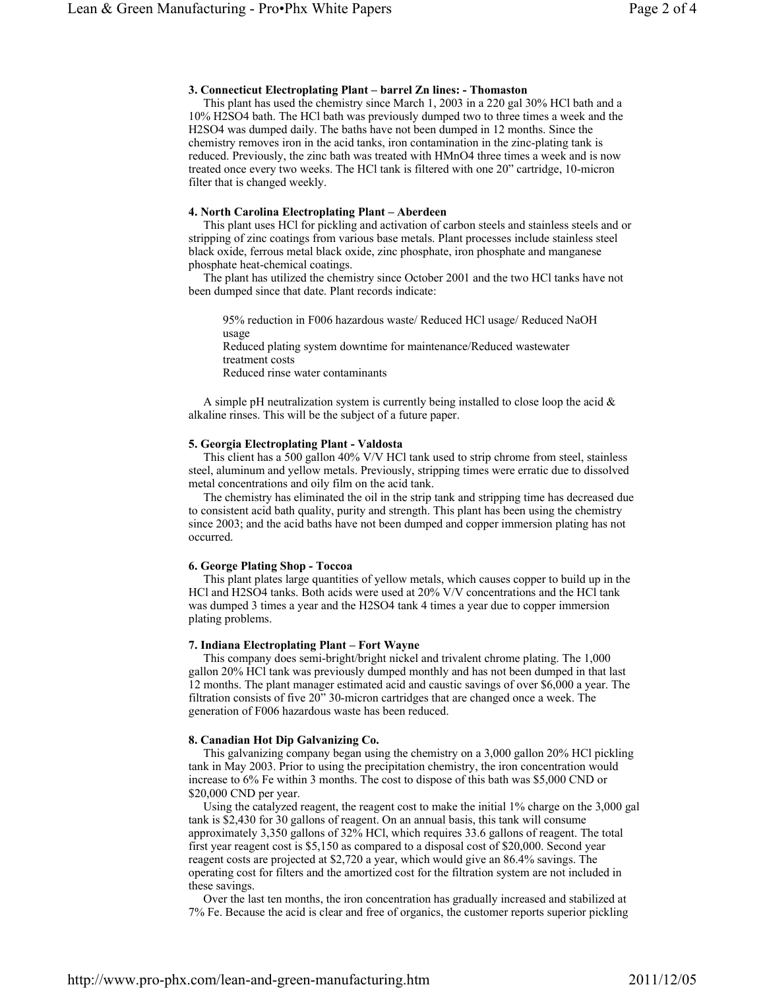## **3. Connecticut Electroplating Plant – barrel Zn lines: - Thomaston**

 This plant has used the chemistry since March 1, 2003 in a 220 gal 30% HCl bath and a 10% H2SO4 bath. The HCl bath was previously dumped two to three times a week and the H2SO4 was dumped daily. The baths have not been dumped in 12 months. Since the chemistry removes iron in the acid tanks, iron contamination in the zinc-plating tank is reduced. Previously, the zinc bath was treated with HMnO4 three times a week and is now treated once every two weeks. The HCl tank is filtered with one 20" cartridge, 10-micron filter that is changed weekly.

## **4. North Carolina Electroplating Plant – Aberdeen**

 This plant uses HCl for pickling and activation of carbon steels and stainless steels and or stripping of zinc coatings from various base metals. Plant processes include stainless steel black oxide, ferrous metal black oxide, zinc phosphate, iron phosphate and manganese phosphate heat-chemical coatings.

 The plant has utilized the chemistry since October 2001 and the two HCl tanks have not been dumped since that date. Plant records indicate:

95% reduction in F006 hazardous waste/ Reduced HCl usage/ Reduced NaOH usage Reduced plating system downtime for maintenance/Reduced wastewater treatment costs Reduced rinse water contaminants

A simple pH neutralization system is currently being installed to close loop the acid  $\&$ alkaline rinses. This will be the subject of a future paper.

## **5. Georgia Electroplating Plant - Valdosta**

 This client has a 500 gallon 40% V/V HCl tank used to strip chrome from steel, stainless steel, aluminum and yellow metals. Previously, stripping times were erratic due to dissolved metal concentrations and oily film on the acid tank.

 The chemistry has eliminated the oil in the strip tank and stripping time has decreased due to consistent acid bath quality, purity and strength. This plant has been using the chemistry since 2003; and the acid baths have not been dumped and copper immersion plating has not occurred.

# **6. George Plating Shop - Toccoa**

 This plant plates large quantities of yellow metals, which causes copper to build up in the HCl and H2SO4 tanks. Both acids were used at 20% V/V concentrations and the HCl tank was dumped 3 times a year and the H2SO4 tank 4 times a year due to copper immersion plating problems.

# **7. Indiana Electroplating Plant – Fort Wayne**

 This company does semi-bright/bright nickel and trivalent chrome plating. The 1,000 gallon 20% HCl tank was previously dumped monthly and has not been dumped in that last 12 months. The plant manager estimated acid and caustic savings of over \$6,000 a year. The filtration consists of five 20" 30-micron cartridges that are changed once a week. The generation of F006 hazardous waste has been reduced.

# **8. Canadian Hot Dip Galvanizing Co.**

 This galvanizing company began using the chemistry on a 3,000 gallon 20% HCl pickling tank in May 2003. Prior to using the precipitation chemistry, the iron concentration would increase to 6% Fe within 3 months. The cost to dispose of this bath was \$5,000 CND or \$20,000 CND per year.

 Using the catalyzed reagent, the reagent cost to make the initial 1% charge on the 3,000 gal tank is \$2,430 for 30 gallons of reagent. On an annual basis, this tank will consume approximately 3,350 gallons of 32% HCl, which requires 33.6 gallons of reagent. The total first year reagent cost is \$5,150 as compared to a disposal cost of \$20,000. Second year reagent costs are projected at \$2,720 a year, which would give an 86.4% savings. The operating cost for filters and the amortized cost for the filtration system are not included in these savings.

 Over the last ten months, the iron concentration has gradually increased and stabilized at 7% Fe. Because the acid is clear and free of organics, the customer reports superior pickling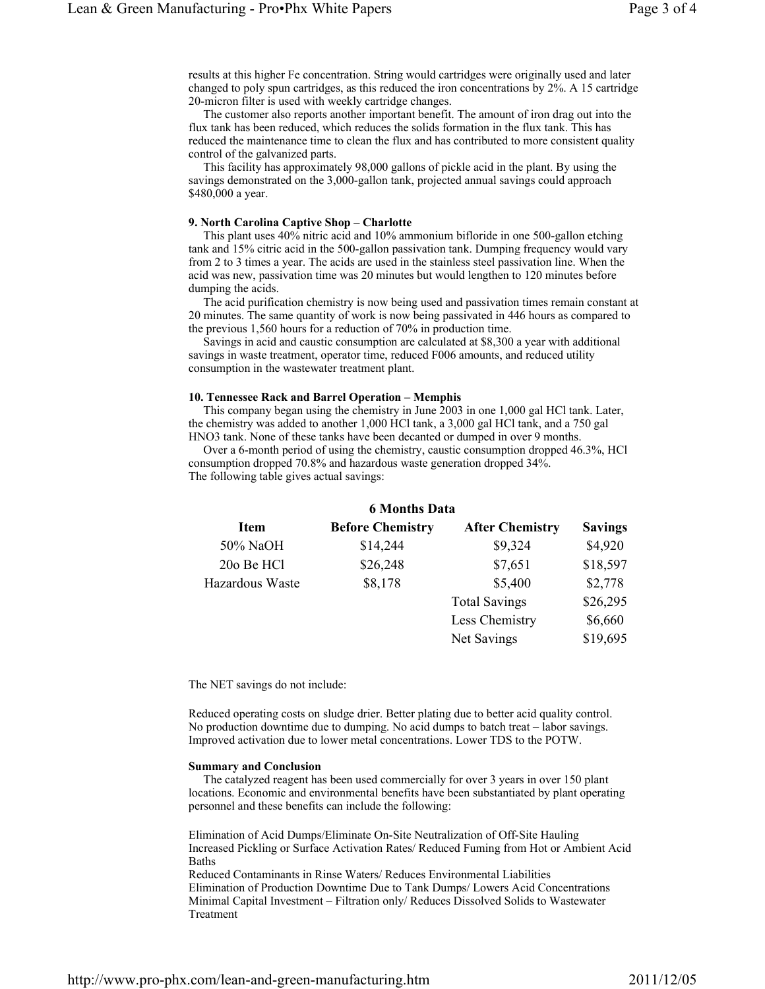results at this higher Fe concentration. String would cartridges were originally used and later changed to poly spun cartridges, as this reduced the iron concentrations by 2%. A 15 cartridge 20-micron filter is used with weekly cartridge changes.

 The customer also reports another important benefit. The amount of iron drag out into the flux tank has been reduced, which reduces the solids formation in the flux tank. This has reduced the maintenance time to clean the flux and has contributed to more consistent quality control of the galvanized parts.

 This facility has approximately 98,000 gallons of pickle acid in the plant. By using the savings demonstrated on the 3,000-gallon tank, projected annual savings could approach \$480,000 a year.

#### **9. North Carolina Captive Shop – Charlotte**

 This plant uses 40% nitric acid and 10% ammonium bifloride in one 500-gallon etching tank and 15% citric acid in the 500-gallon passivation tank. Dumping frequency would vary from 2 to 3 times a year. The acids are used in the stainless steel passivation line. When the acid was new, passivation time was 20 minutes but would lengthen to 120 minutes before dumping the acids.

 The acid purification chemistry is now being used and passivation times remain constant at 20 minutes. The same quantity of work is now being passivated in 446 hours as compared to the previous 1,560 hours for a reduction of 70% in production time.

 Savings in acid and caustic consumption are calculated at \$8,300 a year with additional savings in waste treatment, operator time, reduced F006 amounts, and reduced utility consumption in the wastewater treatment plant.

## **10. Tennessee Rack and Barrel Operation – Memphis**

 This company began using the chemistry in June 2003 in one 1,000 gal HCl tank. Later, the chemistry was added to another 1,000 HCl tank, a 3,000 gal HCl tank, and a 750 gal HNO3 tank. None of these tanks have been decanted or dumped in over 9 months.

 Over a 6-month period of using the chemistry, caustic consumption dropped 46.3%, HCl consumption dropped 70.8% and hazardous waste generation dropped 34%. The following table gives actual savings:

| <b>6 Months Data</b> |                         |                        |                |
|----------------------|-------------------------|------------------------|----------------|
| <b>Item</b>          | <b>Before Chemistry</b> | <b>After Chemistry</b> | <b>Savings</b> |
| 50% NaOH             | \$14,244                | \$9,324                | \$4,920        |
| 20o Be HCl           | \$26,248                | \$7,651                | \$18,597       |
| Hazardous Waste      | \$8,178                 | \$5,400                | \$2,778        |
|                      |                         | <b>Total Savings</b>   | \$26,295       |
|                      |                         | Less Chemistry         | \$6,660        |
|                      |                         | Net Savings            | \$19,695       |

The NET savings do not include:

Reduced operating costs on sludge drier. Better plating due to better acid quality control. No production downtime due to dumping. No acid dumps to batch treat – labor savings. Improved activation due to lower metal concentrations. Lower TDS to the POTW.

#### **Summary and Conclusion**

 The catalyzed reagent has been used commercially for over 3 years in over 150 plant locations. Economic and environmental benefits have been substantiated by plant operating personnel and these benefits can include the following:

Elimination of Acid Dumps/Eliminate On-Site Neutralization of Off-Site Hauling Increased Pickling or Surface Activation Rates/ Reduced Fuming from Hot or Ambient Acid Baths

Reduced Contaminants in Rinse Waters/ Reduces Environmental Liabilities Elimination of Production Downtime Due to Tank Dumps/ Lowers Acid Concentrations Minimal Capital Investment – Filtration only/ Reduces Dissolved Solids to Wastewater Treatment